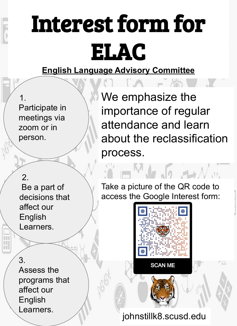## Interest form for ELAC

#### **English Language Advisory Committee**

1. Participate in meetings via zoom or in person.

We emphasize the importance of regular attendance and learn about the reclassification process.

#### 2.

 Be a part of decisions that affect our English Learners.

3. Assess the programs that affect our English Learners.

Take a picture of the QR code to access the Google Interest form:

 $\rightarrow \mathcal{N}$  and



**SCAN ME** 

johnstillk8.scusd.edu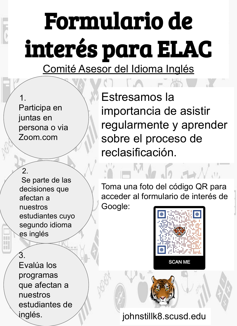# Formulario de interés para ELAC

Comité Asesor del Idioma Inglés

1. Participa en juntas en persona o via Zoom.com

Estresamos la importancia de asistir regularmente y aprender sobre el proceso de reclasificación.

#### $\mathcal{P}$

 Se parte de las decisiones que afectan a nuestros estudiantes cuyo segundo idioma es inglés

Toma una foto del código QR para acceder al formulario de interés de

Google:



 $\rightarrow \mathcal{N}$  and

3. Evalúa los programas que afectan a nuestros estudiantes de inglés.

### johnstillk8.scusd.edu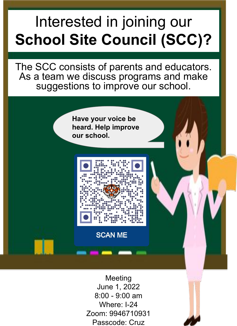## Interested in joining our **School Site Council (SCC)?**

The SCC consists of parents and educators. As a team we discuss programs and make suggestions to improve our school.

> **Have your voice be heard. Help improve our school.**



**SCAN ME** 

**Meeting** June 1, 2022 8:00 - 9:00 am Where: I-24 Zoom: 9946710931 Passcode: Cruz